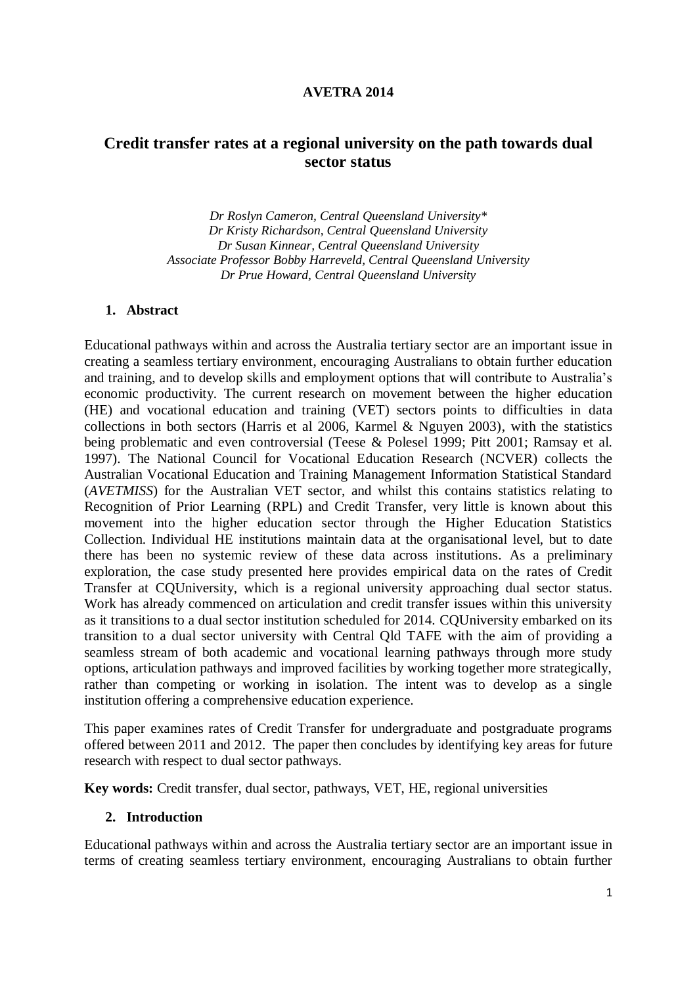## **AVETRA 2014**

# **Credit transfer rates at a regional university on the path towards dual sector status**

*Dr Roslyn Cameron, Central Queensland University\* Dr Kristy Richardson, Central Queensland University Dr Susan Kinnear, Central Queensland University Associate Professor Bobby Harreveld, Central Queensland University Dr Prue Howard, Central Queensland University*

## **1. Abstract**

Educational pathways within and across the Australia tertiary sector are an important issue in creating a seamless tertiary environment, encouraging Australians to obtain further education and training, and to develop skills and employment options that will contribute to Australia's economic productivity. The current research on movement between the higher education (HE) and vocational education and training (VET) sectors points to difficulties in data collections in both sectors (Harris et al 2006, Karmel & Nguyen 2003), with the statistics being problematic and even controversial (Teese & Polesel 1999; Pitt 2001; Ramsay et al. 1997). The National Council for Vocational Education Research (NCVER) collects the Australian Vocational Education and Training Management Information Statistical Standard (*AVETMISS*) for the Australian VET sector, and whilst this contains statistics relating to Recognition of Prior Learning (RPL) and Credit Transfer, very little is known about this movement into the higher education sector through the Higher Education Statistics Collection. Individual HE institutions maintain data at the organisational level, but to date there has been no systemic review of these data across institutions. As a preliminary exploration, the case study presented here provides empirical data on the rates of Credit Transfer at CQUniversity, which is a regional university approaching dual sector status. Work has already commenced on articulation and credit transfer issues within this university as it transitions to a dual sector institution scheduled for 2014. CQUniversity embarked on its transition to a dual sector university with Central Qld TAFE with the aim of providing a seamless stream of both academic and vocational learning pathways through more study options, articulation pathways and improved facilities by working together more strategically, rather than competing or working in isolation. The intent was to develop as a single institution offering a comprehensive education experience.

This paper examines rates of Credit Transfer for undergraduate and postgraduate programs offered between 2011 and 2012. The paper then concludes by identifying key areas for future research with respect to dual sector pathways.

**Key words:** Credit transfer, dual sector, pathways, VET, HE, regional universities

#### **2. Introduction**

Educational pathways within and across the Australia tertiary sector are an important issue in terms of creating seamless tertiary environment, encouraging Australians to obtain further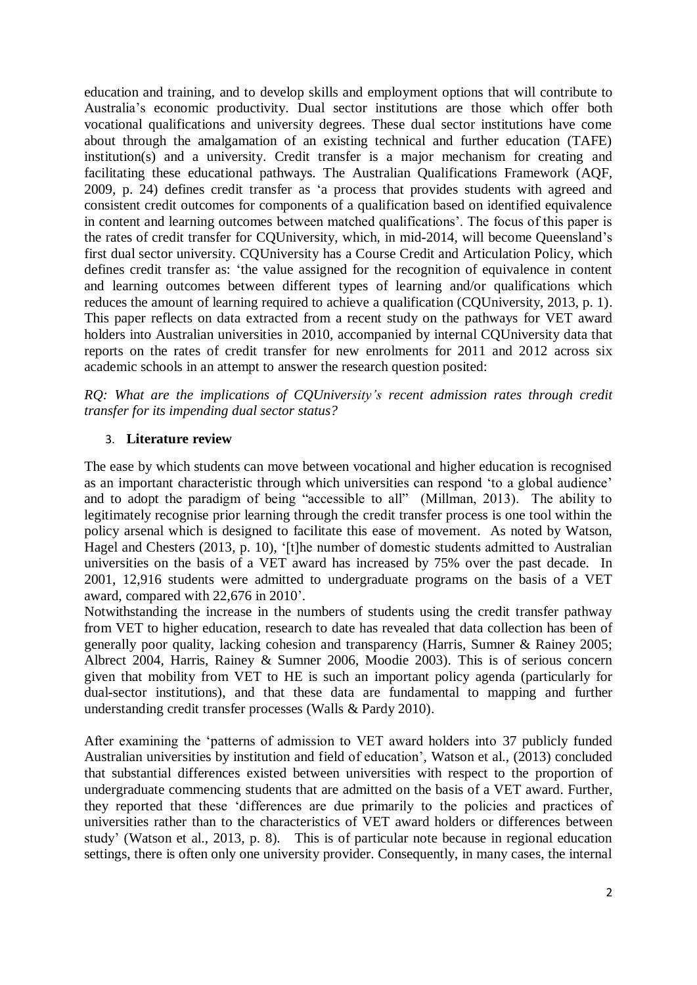education and training, and to develop skills and employment options that will contribute to Australia's economic productivity. Dual sector institutions are those which offer both vocational qualifications and university degrees. These dual sector institutions have come about through the amalgamation of an existing technical and further education (TAFE) institution(s) and a university. Credit transfer is a major mechanism for creating and facilitating these educational pathways. The Australian Qualifications Framework (AQF, 2009, p. 24) defines credit transfer as 'a process that provides students with agreed and consistent credit outcomes for components of a qualification based on identified equivalence in content and learning outcomes between matched qualifications'. The focus of this paper is the rates of credit transfer for CQUniversity, which, in mid-2014, will become Queensland's first dual sector university. CQUniversity has a Course Credit and Articulation Policy, which defines credit transfer as: 'the value assigned for the recognition of equivalence in content and learning outcomes between different types of learning and/or qualifications which reduces the amount of learning required to achieve a qualification (CQUniversity, 2013, p. 1). This paper reflects on data extracted from a recent study on the pathways for VET award holders into Australian universities in 2010, accompanied by internal CQUniversity data that reports on the rates of credit transfer for new enrolments for 2011 and 2012 across six academic schools in an attempt to answer the research question posited:

*RQ: What are the implications of CQUniversity's recent admission rates through credit transfer for its impending dual sector status?*

# 3. **Literature review**

The ease by which students can move between vocational and higher education is recognised as an important characteristic through which universities can respond 'to a global audience' and to adopt the paradigm of being "accessible to all" (Millman, 2013). The ability to legitimately recognise prior learning through the credit transfer process is one tool within the policy arsenal which is designed to facilitate this ease of movement. As noted by Watson, Hagel and Chesters (2013, p. 10), '[t]he number of domestic students admitted to Australian universities on the basis of a VET award has increased by 75% over the past decade. In 2001, 12,916 students were admitted to undergraduate programs on the basis of a VET award, compared with 22,676 in 2010'.

Notwithstanding the increase in the numbers of students using the credit transfer pathway from VET to higher education, research to date has revealed that data collection has been of generally poor quality, lacking cohesion and transparency (Harris, Sumner & Rainey 2005; Albrect 2004, Harris, Rainey & Sumner 2006, Moodie 2003). This is of serious concern given that mobility from VET to HE is such an important policy agenda (particularly for dual-sector institutions), and that these data are fundamental to mapping and further understanding credit transfer processes (Walls & Pardy 2010).

After examining the 'patterns of admission to VET award holders into 37 publicly funded Australian universities by institution and field of education', Watson et al., (2013) concluded that substantial differences existed between universities with respect to the proportion of undergraduate commencing students that are admitted on the basis of a VET award. Further, they reported that these 'differences are due primarily to the policies and practices of universities rather than to the characteristics of VET award holders or differences between study' (Watson et al., 2013, p. 8). This is of particular note because in regional education settings, there is often only one university provider. Consequently, in many cases, the internal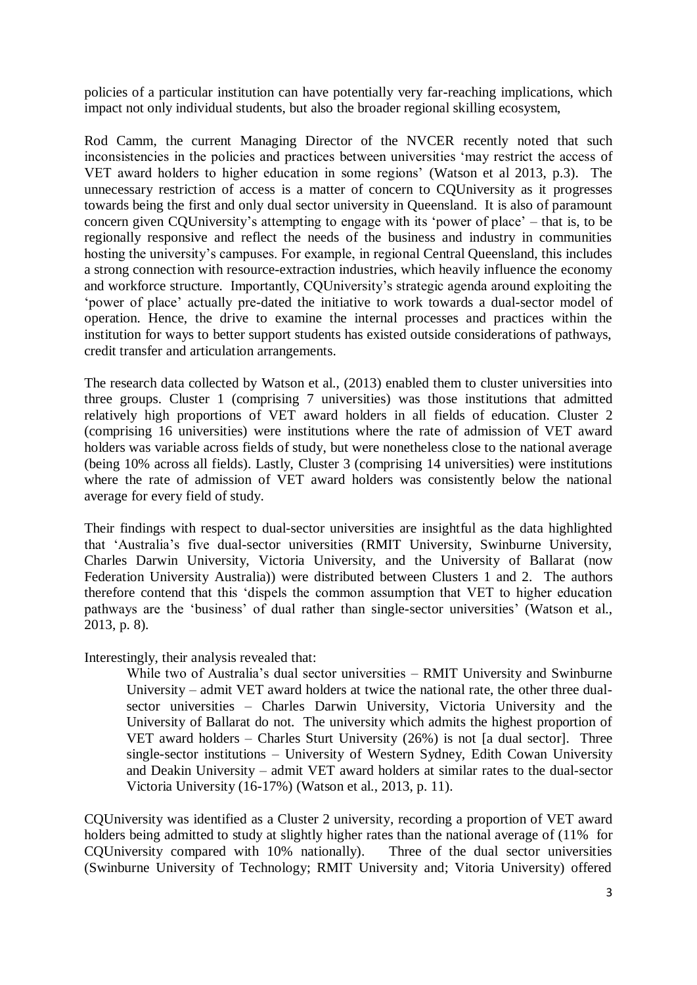policies of a particular institution can have potentially very far-reaching implications, which impact not only individual students, but also the broader regional skilling ecosystem,

Rod Camm, the current Managing Director of the NVCER recently noted that such inconsistencies in the policies and practices between universities 'may restrict the access of VET award holders to higher education in some regions' (Watson et al 2013, p.3). The unnecessary restriction of access is a matter of concern to CQUniversity as it progresses towards being the first and only dual sector university in Queensland. It is also of paramount concern given CQUniversity's attempting to engage with its 'power of place' – that is, to be regionally responsive and reflect the needs of the business and industry in communities hosting the university's campuses. For example, in regional Central Queensland, this includes a strong connection with resource-extraction industries, which heavily influence the economy and workforce structure. Importantly, CQUniversity's strategic agenda around exploiting the 'power of place' actually pre-dated the initiative to work towards a dual-sector model of operation. Hence, the drive to examine the internal processes and practices within the institution for ways to better support students has existed outside considerations of pathways, credit transfer and articulation arrangements.

The research data collected by Watson et al., (2013) enabled them to cluster universities into three groups. Cluster 1 (comprising 7 universities) was those institutions that admitted relatively high proportions of VET award holders in all fields of education. Cluster 2 (comprising 16 universities) were institutions where the rate of admission of VET award holders was variable across fields of study, but were nonetheless close to the national average (being 10% across all fields). Lastly, Cluster 3 (comprising 14 universities) were institutions where the rate of admission of VET award holders was consistently below the national average for every field of study.

Their findings with respect to dual-sector universities are insightful as the data highlighted that 'Australia's five dual-sector universities (RMIT University, Swinburne University, Charles Darwin University, Victoria University, and the University of Ballarat (now Federation University Australia)) were distributed between Clusters 1 and 2. The authors therefore contend that this 'dispels the common assumption that VET to higher education pathways are the 'business' of dual rather than single-sector universities' (Watson et al., 2013, p. 8).

Interestingly, their analysis revealed that:

While two of Australia's dual sector universities – RMIT University and Swinburne University – admit VET award holders at twice the national rate, the other three dualsector universities – Charles Darwin University, Victoria University and the University of Ballarat do not. The university which admits the highest proportion of VET award holders – Charles Sturt University (26%) is not [a dual sector]. Three single-sector institutions – University of Western Sydney, Edith Cowan University and Deakin University – admit VET award holders at similar rates to the dual-sector Victoria University (16-17%) (Watson et al., 2013, p. 11).

CQUniversity was identified as a Cluster 2 university, recording a proportion of VET award holders being admitted to study at slightly higher rates than the national average of (11% for CQUniversity compared with 10% nationally). Three of the dual sector universities (Swinburne University of Technology; RMIT University and; Vitoria University) offered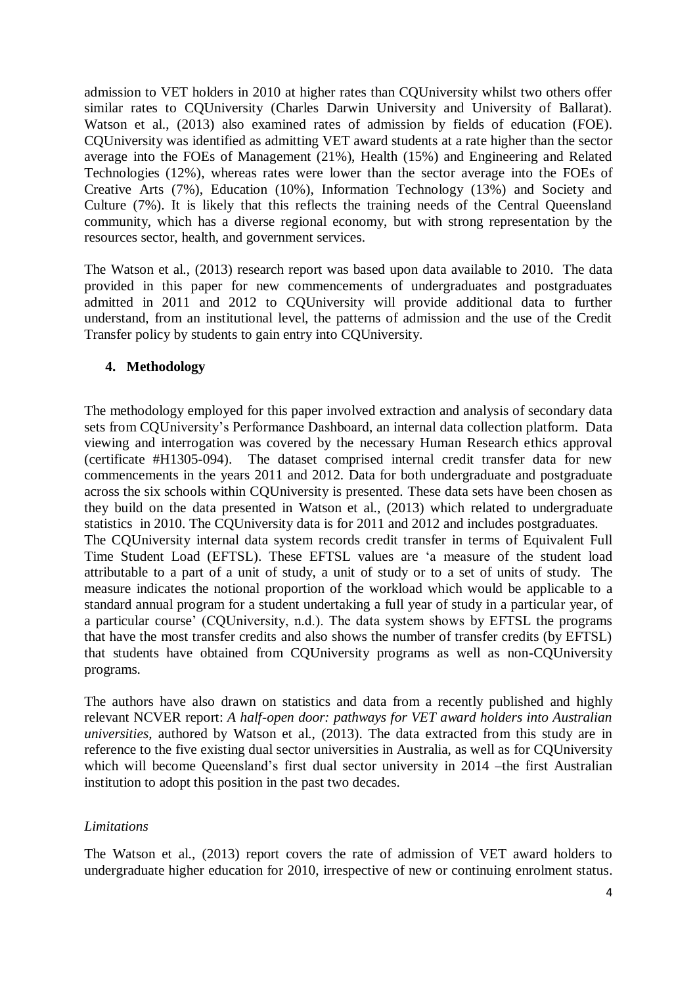admission to VET holders in 2010 at higher rates than CQUniversity whilst two others offer similar rates to CQUniversity (Charles Darwin University and University of Ballarat). Watson et al., (2013) also examined rates of admission by fields of education (FOE). CQUniversity was identified as admitting VET award students at a rate higher than the sector average into the FOEs of Management (21%), Health (15%) and Engineering and Related Technologies (12%), whereas rates were lower than the sector average into the FOEs of Creative Arts (7%), Education (10%), Information Technology (13%) and Society and Culture (7%). It is likely that this reflects the training needs of the Central Queensland community, which has a diverse regional economy, but with strong representation by the resources sector, health, and government services.

The Watson et al., (2013) research report was based upon data available to 2010. The data provided in this paper for new commencements of undergraduates and postgraduates admitted in 2011 and 2012 to CQUniversity will provide additional data to further understand, from an institutional level, the patterns of admission and the use of the Credit Transfer policy by students to gain entry into CQUniversity.

# **4. Methodology**

The methodology employed for this paper involved extraction and analysis of secondary data sets from CQUniversity's Performance Dashboard, an internal data collection platform. Data viewing and interrogation was covered by the necessary Human Research ethics approval (certificate #H1305-094). The dataset comprised internal credit transfer data for new commencements in the years 2011 and 2012. Data for both undergraduate and postgraduate across the six schools within CQUniversity is presented. These data sets have been chosen as they build on the data presented in Watson et al., (2013) which related to undergraduate statistics in 2010. The CQUniversity data is for 2011 and 2012 and includes postgraduates. The CQUniversity internal data system records credit transfer in terms of Equivalent Full Time Student Load (EFTSL). These EFTSL values are 'a measure of the student load attributable to a part of a unit of study, a unit of study or to a set of units of study. The measure indicates the notional proportion of the workload which would be applicable to a standard annual program for a student undertaking a full year of study in a particular year, of a particular course' (CQUniversity, n.d.). The data system shows by EFTSL the programs that have the most transfer credits and also shows the number of transfer credits (by EFTSL) that students have obtained from CQUniversity programs as well as non-CQUniversity programs.

The authors have also drawn on statistics and data from a recently published and highly relevant NCVER report: *A half-open door: pathways for VET award holders into Australian universities,* authored by Watson et al., (2013). The data extracted from this study are in reference to the five existing dual sector universities in Australia, as well as for CQUniversity which will become Queensland's first dual sector university in 2014 –the first Australian institution to adopt this position in the past two decades.

## *Limitations*

The Watson et al., (2013) report covers the rate of admission of VET award holders to undergraduate higher education for 2010, irrespective of new or continuing enrolment status.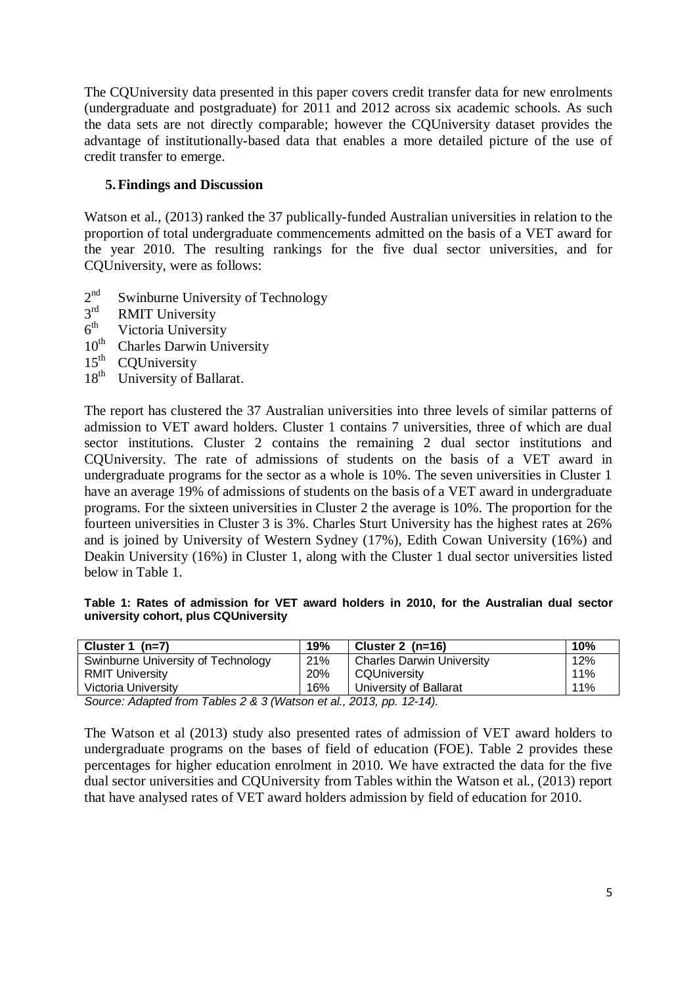The CQUniversity data presented in this paper covers credit transfer data for new enrolments (undergraduate and postgraduate) for 2011 and 2012 across six academic schools. As such the data sets are not directly comparable; however the CQUniversity dataset provides the advantage of institutionally-based data that enables a more detailed picture of the use of credit transfer to emerge.

# **5.Findings and Discussion**

Watson et al., (2013) ranked the 37 publically-funded Australian universities in relation to the proportion of total undergraduate commencements admitted on the basis of a VET award for the year 2010. The resulting rankings for the five dual sector universities, and for CQUniversity, were as follows:

- $2<sup>nd</sup>$ Swinburne University of Technology
- $3<sup>rd</sup>$ RMIT University
- $\frac{6^{th}}{10^{th}}$ Victoria University
- Charles Darwin University
- 
- $15^{th}$  CQUniversity<br> $18^{th}$  University of 1 University of Ballarat.

The report has clustered the 37 Australian universities into three levels of similar patterns of admission to VET award holders. Cluster 1 contains 7 universities, three of which are dual sector institutions. Cluster 2 contains the remaining 2 dual sector institutions and CQUniversity. The rate of admissions of students on the basis of a VET award in undergraduate programs for the sector as a whole is 10%. The seven universities in Cluster 1 have an average 19% of admissions of students on the basis of a VET award in undergraduate programs. For the sixteen universities in Cluster 2 the average is 10%. The proportion for the fourteen universities in Cluster 3 is 3%. Charles Sturt University has the highest rates at 26% and is joined by University of Western Sydney (17%), Edith Cowan University (16%) and Deakin University (16%) in Cluster 1, along with the Cluster 1 dual sector universities listed below in Table 1.

#### **Table 1: Rates of admission for VET award holders in 2010, for the Australian dual sector university cohort, plus CQUniversity**

| Cluster 1 $(n=7)$                                                | 19% | Cluster 2 $(n=16)$               | 10% |
|------------------------------------------------------------------|-----|----------------------------------|-----|
| Swinburne University of Technology                               | 21% | <b>Charles Darwin University</b> | 12% |
| <b>RMIT University</b>                                           | 20% | CQUniversity                     | 11% |
| Victoria University                                              | 16% | University of Ballarat           | 11% |
| Course: Adopted from Tables 2.8.3 (Watson at al. 2012 pp. 12.14) |     |                                  |     |

*Source: Adapted from Tables 2 & 3 (Watson et al., 2013, pp. 12-14).*

The Watson et al (2013) study also presented rates of admission of VET award holders to undergraduate programs on the bases of field of education (FOE). Table 2 provides these percentages for higher education enrolment in 2010. We have extracted the data for the five dual sector universities and CQUniversity from Tables within the Watson et al., (2013) report that have analysed rates of VET award holders admission by field of education for 2010.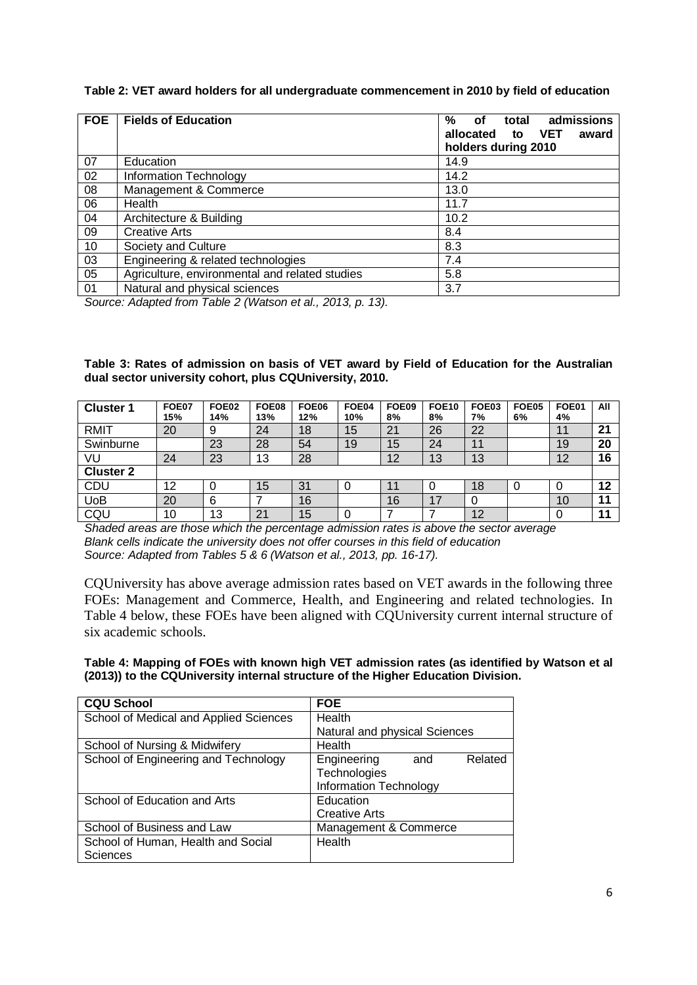#### **Table 2: VET award holders for all undergraduate commencement in 2010 by field of education**

| <b>FOE</b> | <b>Fields of Education</b>                     | admissions<br>%<br>total<br>οf<br><b>VET</b><br>allocated<br>award<br>to<br>holders during 2010 |
|------------|------------------------------------------------|-------------------------------------------------------------------------------------------------|
| 07         | Education                                      | 14.9                                                                                            |
| 02         | Information Technology                         | 14.2                                                                                            |
| 08         | Management & Commerce                          | 13.0                                                                                            |
| 06         | Health                                         | 11.7                                                                                            |
| 04         | Architecture & Building                        | 10.2                                                                                            |
| 09         | <b>Creative Arts</b>                           | 8.4                                                                                             |
| 10         | Society and Culture                            | 8.3                                                                                             |
| 03         | Engineering & related technologies             | 7.4                                                                                             |
| 05         | Agriculture, environmental and related studies | 5.8                                                                                             |
| 01         | Natural and physical sciences                  | 3.7                                                                                             |

*Source: Adapted from Table 2 (Watson et al., 2013, p. 13).*

#### **Table 3: Rates of admission on basis of VET award by Field of Education for the Australian dual sector university cohort, plus CQUniversity, 2010.**

| <b>Cluster</b>   | <b>FOE07</b><br>15% | <b>FOE02</b><br>14% | <b>FOE08</b><br>13% | FOE06<br>12% | FOE04<br>10% | <b>FOE09</b><br>8% | <b>FOE10</b><br>8% | FOE03<br>7% | <b>FOE05</b><br>6% | FOE01<br>4%                 | All |
|------------------|---------------------|---------------------|---------------------|--------------|--------------|--------------------|--------------------|-------------|--------------------|-----------------------------|-----|
| RMIT             | 20                  | 9                   | 24                  | 18           | 15           | 21                 | 26                 | 22          |                    | $\ddot{\phantom{1}}$<br>. . | 21  |
| Swinburne        |                     | 23                  | 28                  | 54           | 19           | 15                 | 24                 | 11          |                    | 19                          | 20  |
| VU               | 24                  | 23                  | 13                  | 28           |              | 12                 | 13                 | 13          |                    | 12                          | 16  |
| <b>Cluster 2</b> |                     |                     |                     |              |              |                    |                    |             |                    |                             |     |
| CDU              | 12                  | 0                   | 15                  | 31           | 0            |                    |                    | 18          | O                  | 0                           | 12  |
| UoB              | 20                  | 6                   |                     | 16           |              | 16                 | 17                 |             |                    | 10                          |     |
| CQU              | 10                  | 13                  | 2 <sub>1</sub>      | 15           |              |                    |                    | 12          |                    |                             | I 4 |

*Shaded areas are those which the percentage admission rates is above the sector average Blank cells indicate the university does not offer courses in this field of education Source: Adapted from Tables 5 & 6 (Watson et al., 2013, pp. 16-17).*

CQUniversity has above average admission rates based on VET awards in the following three FOEs: Management and Commerce, Health, and Engineering and related technologies. In Table 4 below, these FOEs have been aligned with CQUniversity current internal structure of six academic schools.

#### **Table 4: Mapping of FOEs with known high VET admission rates (as identified by Watson et al (2013)) to the CQUniversity internal structure of the Higher Education Division.**

| <b>CQU School</b>                      | <b>FOE</b>                    |
|----------------------------------------|-------------------------------|
| School of Medical and Applied Sciences | Health                        |
|                                        | Natural and physical Sciences |
| School of Nursing & Midwifery          | Health                        |
| School of Engineering and Technology   | Engineering<br>Related<br>and |
|                                        | Technologies                  |
|                                        | Information Technology        |
| School of Education and Arts           | Education                     |
|                                        | <b>Creative Arts</b>          |
| School of Business and Law             | Management & Commerce         |
| School of Human, Health and Social     | Health                        |
| <b>Sciences</b>                        |                               |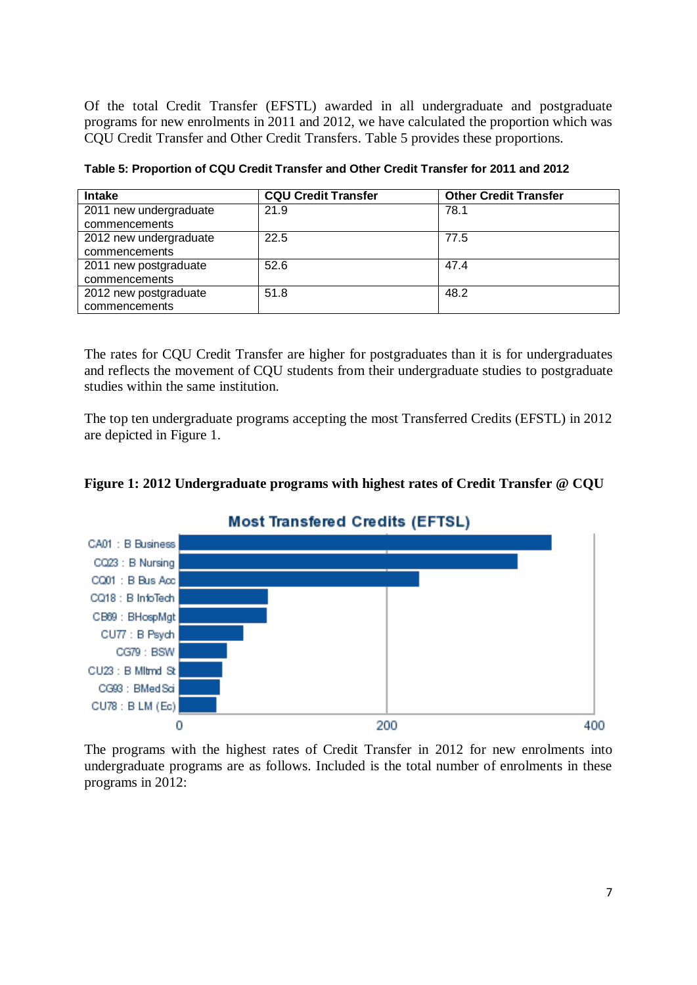Of the total Credit Transfer (EFSTL) awarded in all undergraduate and postgraduate programs for new enrolments in 2011 and 2012, we have calculated the proportion which was CQU Credit Transfer and Other Credit Transfers. Table 5 provides these proportions.

| <b>Intake</b>          | <b>CQU Credit Transfer</b> | <b>Other Credit Transfer</b> |
|------------------------|----------------------------|------------------------------|
| 2011 new undergraduate | 21.9                       | 78.1                         |
| commencements          |                            |                              |
| 2012 new undergraduate | 22.5                       | 77.5                         |
| commencements          |                            |                              |
| 2011 new postgraduate  | 52.6                       | 47.4                         |
| commencements          |                            |                              |
| 2012 new postgraduate  | 51.8                       | 48.2                         |
| commencements          |                            |                              |

**Table 5: Proportion of CQU Credit Transfer and Other Credit Transfer for 2011 and 2012**

The rates for CQU Credit Transfer are higher for postgraduates than it is for undergraduates and reflects the movement of CQU students from their undergraduate studies to postgraduate studies within the same institution.

The top ten undergraduate programs accepting the most Transferred Credits (EFSTL) in 2012 are depicted in Figure 1.





# **Most Transfered Credits (EFTSL)**

The programs with the highest rates of Credit Transfer in 2012 for new enrolments into undergraduate programs are as follows. Included is the total number of enrolments in these programs in 2012: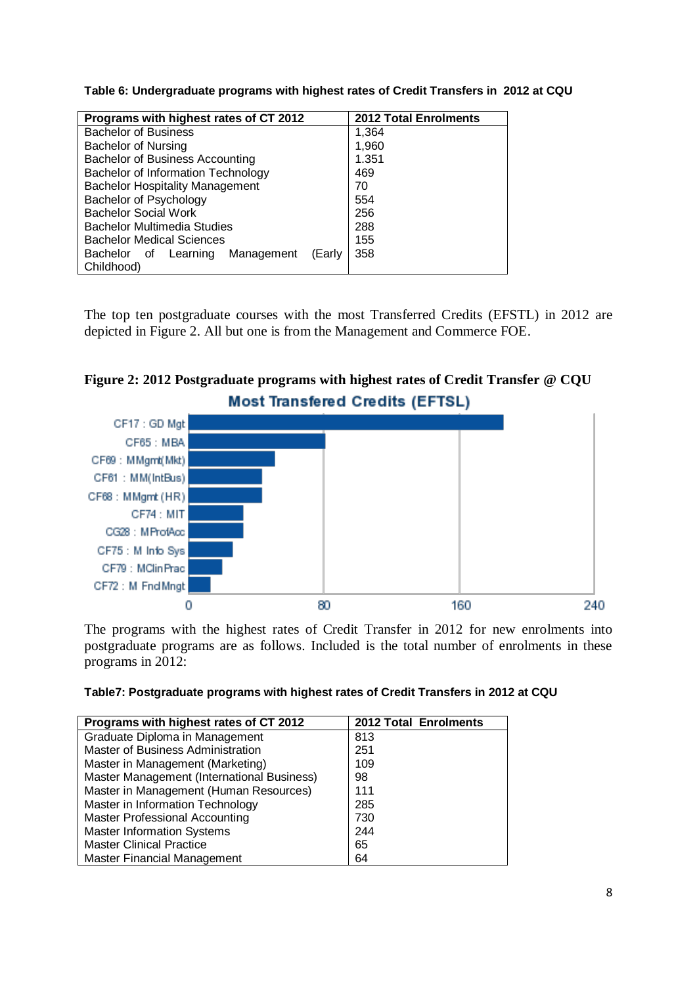**Table 6: Undergraduate programs with highest rates of Credit Transfers in 2012 at CQU**

| Programs with highest rates of CT 2012              | <b>2012 Total Enrolments</b> |  |  |  |  |  |  |
|-----------------------------------------------------|------------------------------|--|--|--|--|--|--|
| <b>Bachelor of Business</b>                         | 1,364                        |  |  |  |  |  |  |
| <b>Bachelor of Nursing</b>                          | 1,960                        |  |  |  |  |  |  |
| <b>Bachelor of Business Accounting</b>              | 1.351                        |  |  |  |  |  |  |
| Bachelor of Information Technology                  | 469                          |  |  |  |  |  |  |
| <b>Bachelor Hospitality Management</b>              | 70                           |  |  |  |  |  |  |
| Bachelor of Psychology                              | 554                          |  |  |  |  |  |  |
| <b>Bachelor Social Work</b>                         | 256                          |  |  |  |  |  |  |
| <b>Bachelor Multimedia Studies</b>                  | 288                          |  |  |  |  |  |  |
| <b>Bachelor Medical Sciences</b>                    | 155                          |  |  |  |  |  |  |
| 358<br>Learning Management<br>Bachelor of<br>(Early |                              |  |  |  |  |  |  |
| Childhood)                                          |                              |  |  |  |  |  |  |

The top ten postgraduate courses with the most Transferred Credits (EFSTL) in 2012 are depicted in Figure 2. All but one is from the Management and Commerce FOE.



# **Figure 2: 2012 Postgraduate programs with highest rates of Credit Transfer @ CQU**

The programs with the highest rates of Credit Transfer in 2012 for new enrolments into postgraduate programs are as follows. Included is the total number of enrolments in these programs in 2012:

| Table7: Postgraduate programs with highest rates of Credit Transfers in 2012 at CQU |  |  |  |
|-------------------------------------------------------------------------------------|--|--|--|
|                                                                                     |  |  |  |

| Programs with highest rates of CT 2012     | 2012 Total Enrolments |
|--------------------------------------------|-----------------------|
| Graduate Diploma in Management             | 813                   |
| Master of Business Administration          | 251                   |
| Master in Management (Marketing)           | 109                   |
| Master Management (International Business) | 98                    |
| Master in Management (Human Resources)     | 111                   |
| Master in Information Technology           | 285                   |
| <b>Master Professional Accounting</b>      | 730                   |
| <b>Master Information Systems</b>          | 244                   |
| <b>Master Clinical Practice</b>            | 65                    |
| <b>Master Financial Management</b>         | 64                    |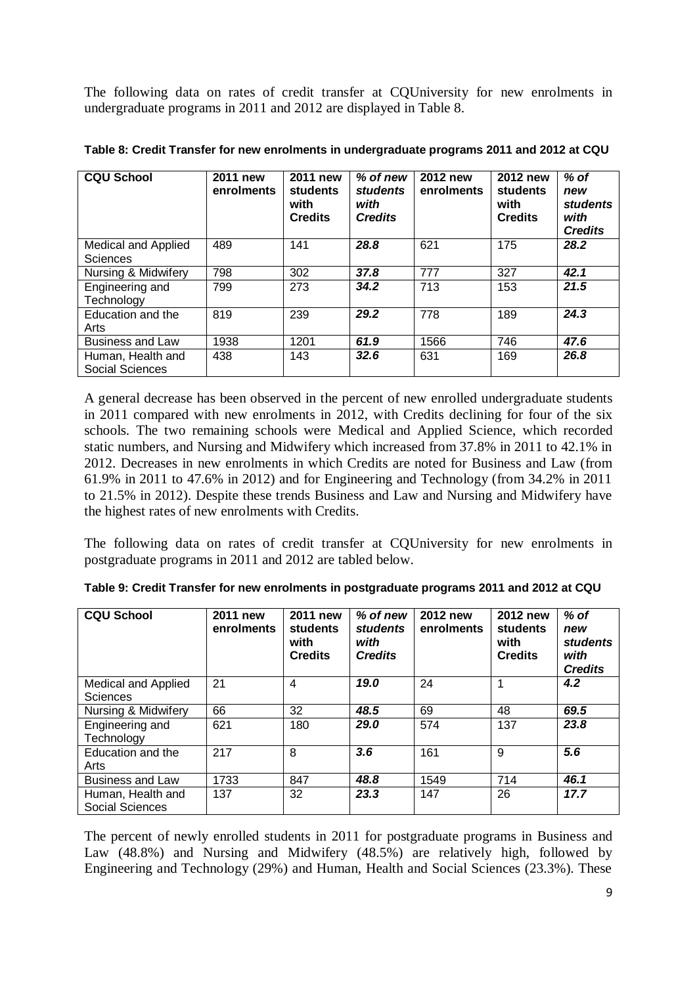The following data on rates of credit transfer at CQUniversity for new enrolments in undergraduate programs in 2011 and 2012 are displayed in Table 8.

| <b>CQU School</b>                           | 2011 new<br>enrolments | 2011 new<br>students<br>with<br><b>Credits</b> | % of new<br><b>students</b><br>with<br><b>Credits</b> | 2012 new<br>enrolments | 2012 new<br>students<br>with<br><b>Credits</b> | $%$ of<br>new<br>students<br>with<br><b>Credits</b> |
|---------------------------------------------|------------------------|------------------------------------------------|-------------------------------------------------------|------------------------|------------------------------------------------|-----------------------------------------------------|
| Medical and Applied<br><b>Sciences</b>      | 489                    | 141                                            | 28.8                                                  | 621                    | 175                                            | 28.2                                                |
| Nursing & Midwifery                         | 798                    | 302                                            | 37.8                                                  | 777                    | 327                                            | 42.1                                                |
| Engineering and<br>Technology               | 799                    | 273                                            | 34.2                                                  | 713                    | 153                                            | 21.5                                                |
| Education and the<br>Arts                   | 819                    | 239                                            | 29.2                                                  | 778                    | 189                                            | 24.3                                                |
| <b>Business and Law</b>                     | 1938                   | 1201                                           | 61.9                                                  | 1566                   | 746                                            | 47.6                                                |
| Human, Health and<br><b>Social Sciences</b> | 438                    | 143                                            | 32.6                                                  | 631                    | 169                                            | 26.8                                                |

**Table 8: Credit Transfer for new enrolments in undergraduate programs 2011 and 2012 at CQU**

A general decrease has been observed in the percent of new enrolled undergraduate students in 2011 compared with new enrolments in 2012, with Credits declining for four of the six schools. The two remaining schools were Medical and Applied Science, which recorded static numbers, and Nursing and Midwifery which increased from 37.8% in 2011 to 42.1% in 2012. Decreases in new enrolments in which Credits are noted for Business and Law (from 61.9% in 2011 to 47.6% in 2012) and for Engineering and Technology (from 34.2% in 2011 to 21.5% in 2012). Despite these trends Business and Law and Nursing and Midwifery have the highest rates of new enrolments with Credits.

The following data on rates of credit transfer at CQUniversity for new enrolments in postgraduate programs in 2011 and 2012 are tabled below.

| <b>CQU School</b>                      | 2011 new<br>enrolments | 2011 new<br>students<br>with<br><b>Credits</b> | % of new<br><b>students</b><br>with<br><b>Credits</b> | 2012 new<br>enrolments | 2012 new<br>students<br>with<br><b>Credits</b> | $%$ of<br>new<br>students<br>with<br><b>Credits</b> |
|----------------------------------------|------------------------|------------------------------------------------|-------------------------------------------------------|------------------------|------------------------------------------------|-----------------------------------------------------|
| Medical and Applied<br><b>Sciences</b> | 21                     | 4                                              | 19.0                                                  | 24                     |                                                | 4.2                                                 |
| Nursing & Midwifery                    | 66                     | 32                                             | 48.5                                                  | 69                     | 48                                             | 69.5                                                |
| Engineering and<br>Technology          | 621                    | 180                                            | 29.0                                                  | 574                    | 137                                            | 23.8                                                |
| Education and the<br>Arts              | 217                    | 8                                              | 3.6                                                   | 161                    | 9                                              | 5.6                                                 |
| <b>Business and Law</b>                | 1733                   | 847                                            | 48.8                                                  | 1549                   | 714                                            | 46.1                                                |
| Human, Health and<br>Social Sciences   | 137                    | 32                                             | 23.3                                                  | 147                    | 26                                             | 17.7                                                |

|  |  | Table 9: Credit Transfer for new enrolments in postgraduate programs 2011 and 2012 at CQU |  |  |
|--|--|-------------------------------------------------------------------------------------------|--|--|
|  |  |                                                                                           |  |  |

The percent of newly enrolled students in 2011 for postgraduate programs in Business and Law (48.8%) and Nursing and Midwifery (48.5%) are relatively high, followed by Engineering and Technology (29%) and Human, Health and Social Sciences (23.3%). These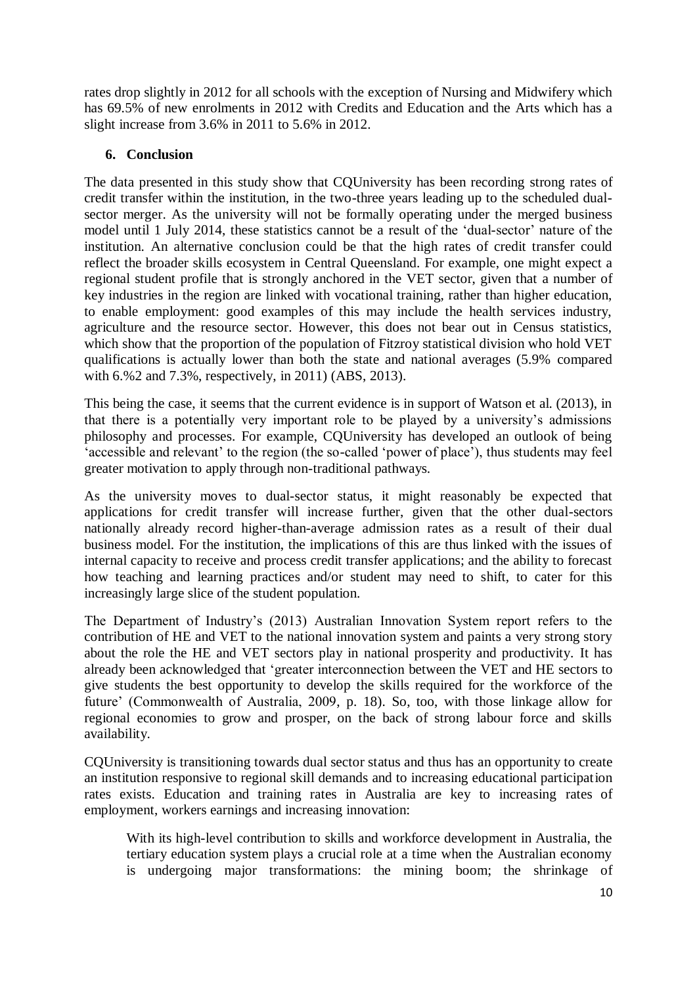rates drop slightly in 2012 for all schools with the exception of Nursing and Midwifery which has 69.5% of new enrolments in 2012 with Credits and Education and the Arts which has a slight increase from 3.6% in 2011 to 5.6% in 2012.

# **6. Conclusion**

The data presented in this study show that CQUniversity has been recording strong rates of credit transfer within the institution, in the two-three years leading up to the scheduled dualsector merger. As the university will not be formally operating under the merged business model until 1 July 2014, these statistics cannot be a result of the 'dual-sector' nature of the institution. An alternative conclusion could be that the high rates of credit transfer could reflect the broader skills ecosystem in Central Queensland. For example, one might expect a regional student profile that is strongly anchored in the VET sector, given that a number of key industries in the region are linked with vocational training, rather than higher education, to enable employment: good examples of this may include the health services industry, agriculture and the resource sector. However, this does not bear out in Census statistics, which show that the proportion of the population of Fitzroy statistical division who hold VET qualifications is actually lower than both the state and national averages (5.9% compared with 6.%2 and 7.3%, respectively, in 2011) (ABS, 2013).

This being the case, it seems that the current evidence is in support of Watson et al. (2013), in that there is a potentially very important role to be played by a university's admissions philosophy and processes. For example, CQUniversity has developed an outlook of being 'accessible and relevant' to the region (the so-called 'power of place'), thus students may feel greater motivation to apply through non-traditional pathways.

As the university moves to dual-sector status, it might reasonably be expected that applications for credit transfer will increase further, given that the other dual-sectors nationally already record higher-than-average admission rates as a result of their dual business model. For the institution, the implications of this are thus linked with the issues of internal capacity to receive and process credit transfer applications; and the ability to forecast how teaching and learning practices and/or student may need to shift, to cater for this increasingly large slice of the student population.

The Department of Industry's (2013) Australian Innovation System report refers to the contribution of HE and VET to the national innovation system and paints a very strong story about the role the HE and VET sectors play in national prosperity and productivity. It has already been acknowledged that 'greater interconnection between the VET and HE sectors to give students the best opportunity to develop the skills required for the workforce of the future' (Commonwealth of Australia, 2009, p. 18). So, too, with those linkage allow for regional economies to grow and prosper, on the back of strong labour force and skills availability.

CQUniversity is transitioning towards dual sector status and thus has an opportunity to create an institution responsive to regional skill demands and to increasing educational participation rates exists. Education and training rates in Australia are key to increasing rates of employment, workers earnings and increasing innovation:

With its high-level contribution to skills and workforce development in Australia, the tertiary education system plays a crucial role at a time when the Australian economy is undergoing major transformations: the mining boom; the shrinkage of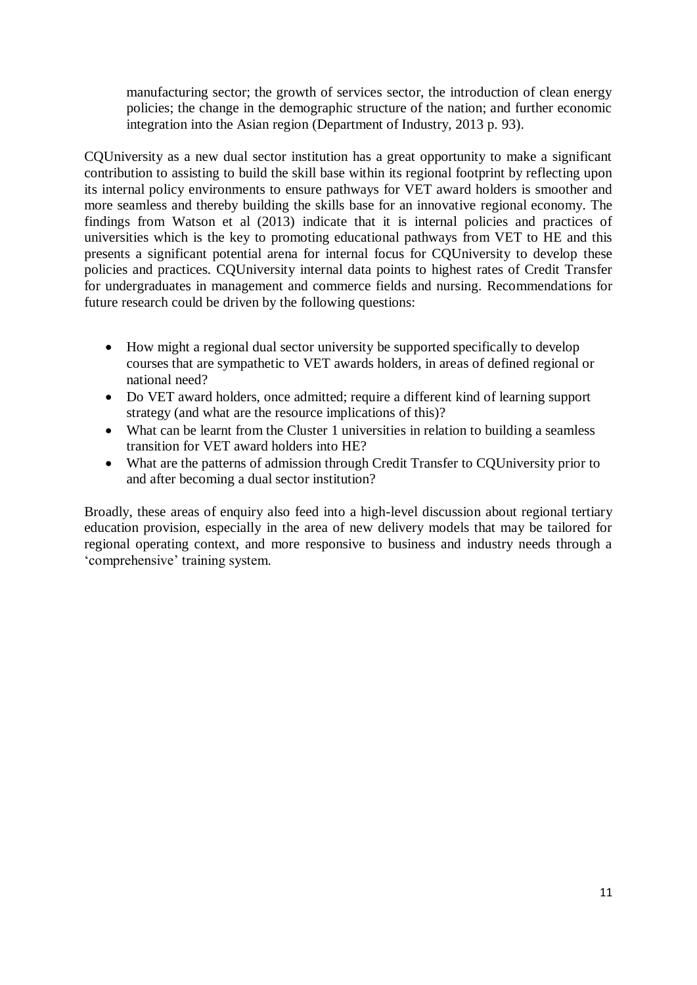manufacturing sector; the growth of services sector, the introduction of clean energy policies; the change in the demographic structure of the nation; and further economic integration into the Asian region (Department of Industry, 2013 p. 93).

CQUniversity as a new dual sector institution has a great opportunity to make a significant contribution to assisting to build the skill base within its regional footprint by reflecting upon its internal policy environments to ensure pathways for VET award holders is smoother and more seamless and thereby building the skills base for an innovative regional economy. The findings from Watson et al (2013) indicate that it is internal policies and practices of universities which is the key to promoting educational pathways from VET to HE and this presents a significant potential arena for internal focus for CQUniversity to develop these policies and practices. CQUniversity internal data points to highest rates of Credit Transfer for undergraduates in management and commerce fields and nursing. Recommendations for future research could be driven by the following questions:

- How might a regional dual sector university be supported specifically to develop courses that are sympathetic to VET awards holders, in areas of defined regional or national need?
- Do VET award holders, once admitted; require a different kind of learning support strategy (and what are the resource implications of this)?
- What can be learnt from the Cluster 1 universities in relation to building a seamless transition for VET award holders into HE?
- What are the patterns of admission through Credit Transfer to CQUniversity prior to and after becoming a dual sector institution?

Broadly, these areas of enquiry also feed into a high-level discussion about regional tertiary education provision, especially in the area of new delivery models that may be tailored for regional operating context, and more responsive to business and industry needs through a 'comprehensive' training system.